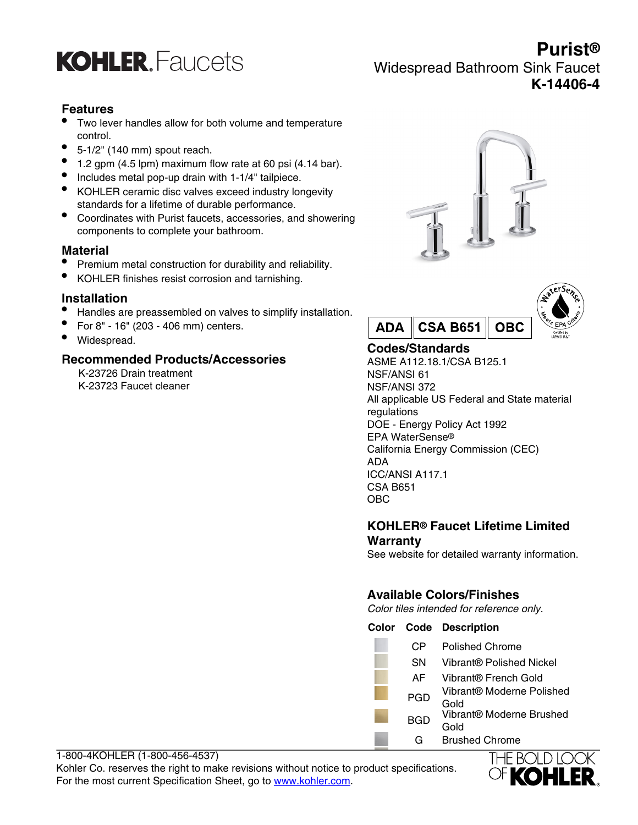

# **Purist®** Widespread Bathroom Sink Faucet **K-14406-4**

## **Features**

- Two lever handles allow for both volume and temperature control.
- 5-1/2" (140 mm) spout reach.
- $\bullet$  1.2 gpm (4.5 lpm) maximum flow rate at 60 psi (4.14 bar).
- Includes metal pop-up drain with 1-1/4" tailpiece.
- KOHLER ceramic disc valves exceed industry longevity standards for a lifetime of durable performance.
- Coordinates with Purist faucets, accessories, and showering components to complete your bathroom.

### **Material**

- Premium metal construction for durability and reliability.
- KOHLER finishes resist corrosion and tarnishing.

## **Installation**

- Handles are preassembled on valves to simplify installation.
- For 8" 16" (203 406 mm) centers.
- Widespread.

### **Recommended Products/Accessories**

K-23726 Drain treatment K-23723 Faucet cleaner





## **Codes/Standards**

ASME A112.18.1/CSA B125.1 NSF/ANSI 61 NSF/ANSI 372 All applicable US Federal and State material regulations DOE - Energy Policy Act 1992 EPA WaterSense® California Energy Commission (CEC) ADA ICC/ANSI A117.1 CSA B651 OBC

## **KOHLER® Faucet Lifetime Limited Warranty**

See website for detailed warranty information.

## **Available Colors/Finishes**

Color tiles intended for reference only.

**Color Code Description**

| СP  | <b>Polished Chrome</b>            |
|-----|-----------------------------------|
| SΝ  | Vibrant® Polished Nickel          |
| AF  | Vibrant® French Gold              |
| PGD | Vibrant® Moderne Polished<br>Gold |
| BGD | Vibrant® Moderne Brushed<br>Gold  |
| G   | <b>Brushed Chrome</b>             |